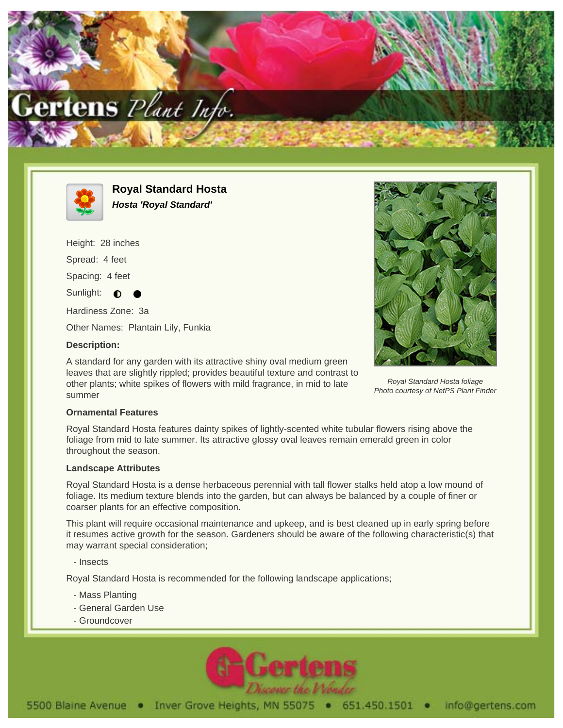



**Royal Standard Hosta Hosta 'Royal Standard'**

Height: 28 inches Spread: 4 feet

Spacing: 4 feet

Sunlight:  $\bullet$ 

Hardiness Zone: 3a

Other Names: Plantain Lily, Funkia

## **Description:**

A standard for any garden with its attractive shiny oval medium green leaves that are slightly rippled; provides beautiful texture and contrast to other plants; white spikes of flowers with mild fragrance, in mid to late summer



Royal Standard Hosta foliage Photo courtesy of NetPS Plant Finder

## **Ornamental Features**

Royal Standard Hosta features dainty spikes of lightly-scented white tubular flowers rising above the foliage from mid to late summer. Its attractive glossy oval leaves remain emerald green in color throughout the season.

## **Landscape Attributes**

Royal Standard Hosta is a dense herbaceous perennial with tall flower stalks held atop a low mound of foliage. Its medium texture blends into the garden, but can always be balanced by a couple of finer or coarser plants for an effective composition.

This plant will require occasional maintenance and upkeep, and is best cleaned up in early spring before it resumes active growth for the season. Gardeners should be aware of the following characteristic(s) that may warrant special consideration;

- Insects

Royal Standard Hosta is recommended for the following landscape applications;

- Mass Planting
- General Garden Use
- Groundcover